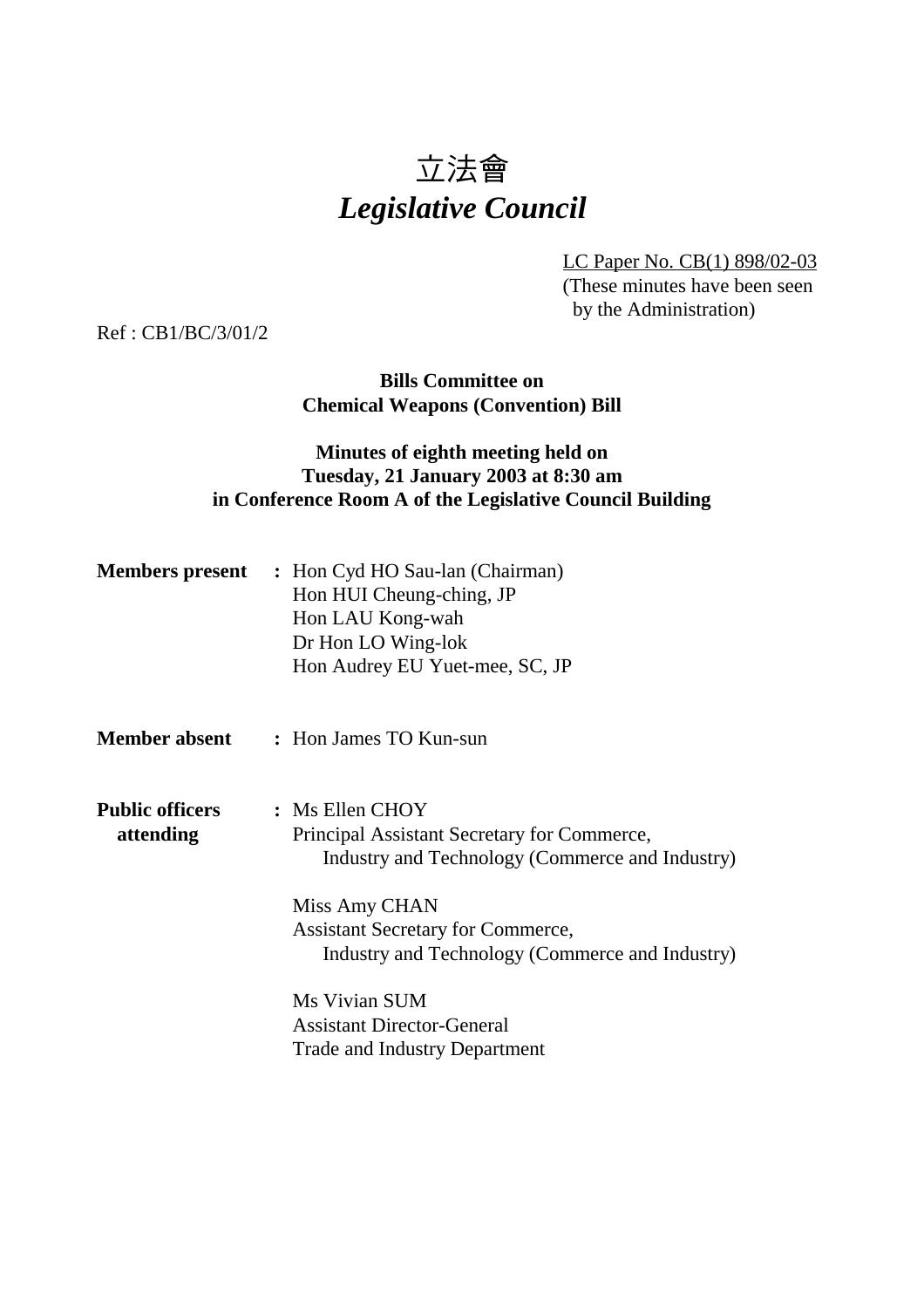# 立法會 *Legislative Council*

LC Paper No. CB(1) 898/02-03 (These minutes have been seen by the Administration)

Ref : CB1/BC/3/01/2

**Bills Committee on Chemical Weapons (Convention) Bill**

# **Minutes of eighth meeting held on Tuesday, 21 January 2003 at 8:30 am in Conference Room A of the Legislative Council Building**

| <b>Members present</b> | : Hon Cyd HO Sau-lan (Chairman) |
|------------------------|---------------------------------|
|                        | Hon HUI Cheung-ching, JP        |
|                        | Hon LAU Kong-wah                |
|                        | Dr Hon LO Wing-lok              |
|                        | Hon Audrey EU Yuet-mee, SC, JP  |
|                        |                                 |
|                        |                                 |

- **Member absent :** Hon James TO Kun-sun
- **Public officers :** Ms Ellen CHOY **attending** Principal Assistant Secretary for Commerce, Industry and Technology (Commerce and Industry)

Miss Amy CHAN Assistant Secretary for Commerce, Industry and Technology (Commerce and Industry)

Ms Vivian SUM Assistant Director-General Trade and Industry Department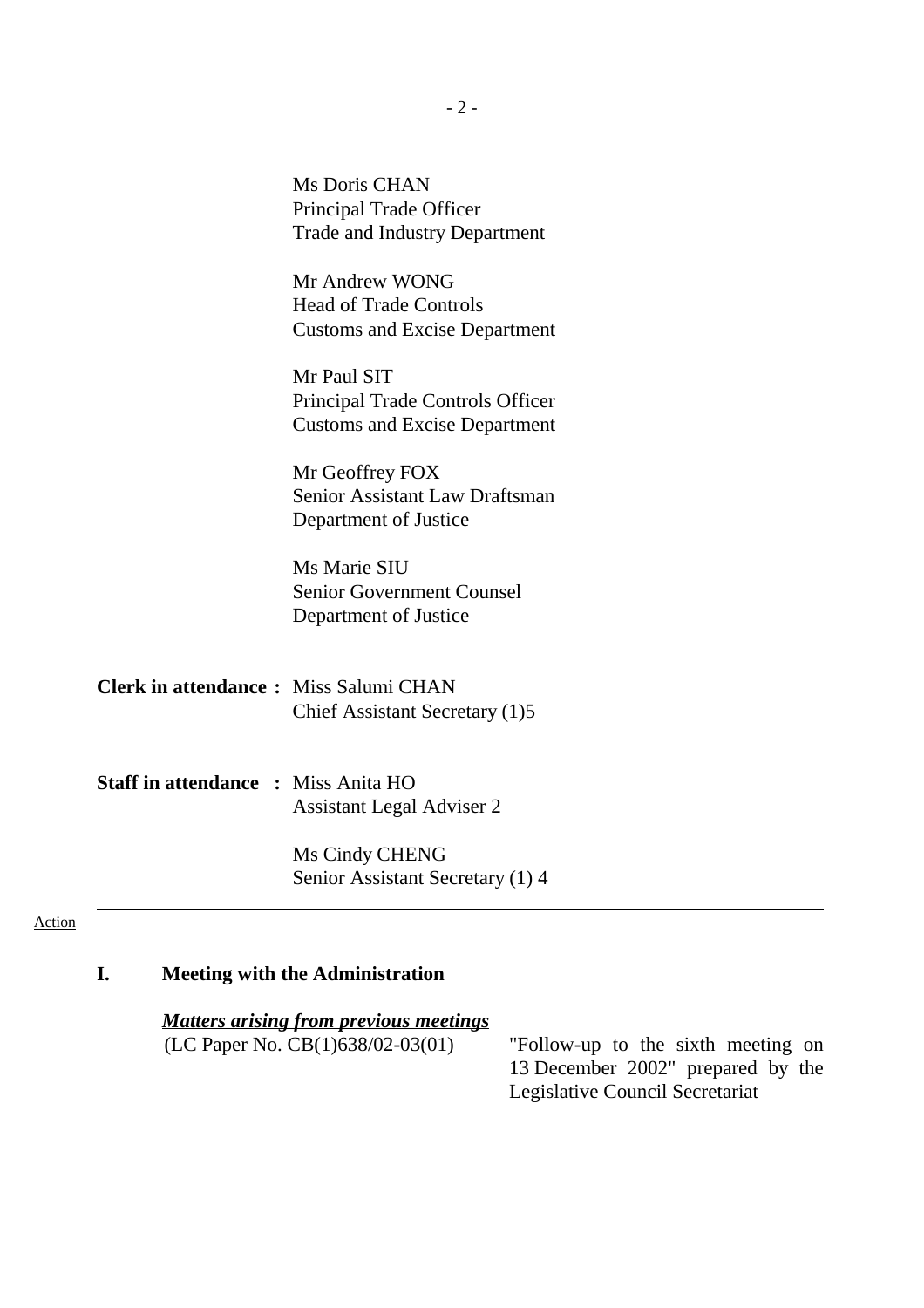| Principal Trade Officer                 |
|-----------------------------------------|
| <b>Trade and Industry Department</b>    |
| Mr Andrew WONG                          |
| <b>Head of Trade Controls</b>           |
| <b>Customs and Excise Department</b>    |
| Mr Paul SIT                             |
| <b>Principal Trade Controls Officer</b> |
| <b>Customs and Excise Department</b>    |
| Mr Geoffrey FOX                         |
| <b>Senior Assistant Law Draftsman</b>   |
| Department of Justice                   |
| Ms Marie SIU                            |
| <b>Senior Government Counsel</b>        |
|                                         |

Ms Doris CHAN

**Clerk in attendance :** Miss Salumi CHAN Chief Assistant Secretary (1)5

**Staff in attendance :** Miss Anita HO Assistant Legal Adviser 2

> Ms Cindy CHENG Senior Assistant Secretary (1) 4

#### Action

### **I. Meeting with the Administration**

*Matters arising from previous meetings*

(LC Paper No.  $CB(1)638/02-03(01)$  - "Follow-up to the sixth meeting on 13 December 2002" prepared by the Legislative Council Secretariat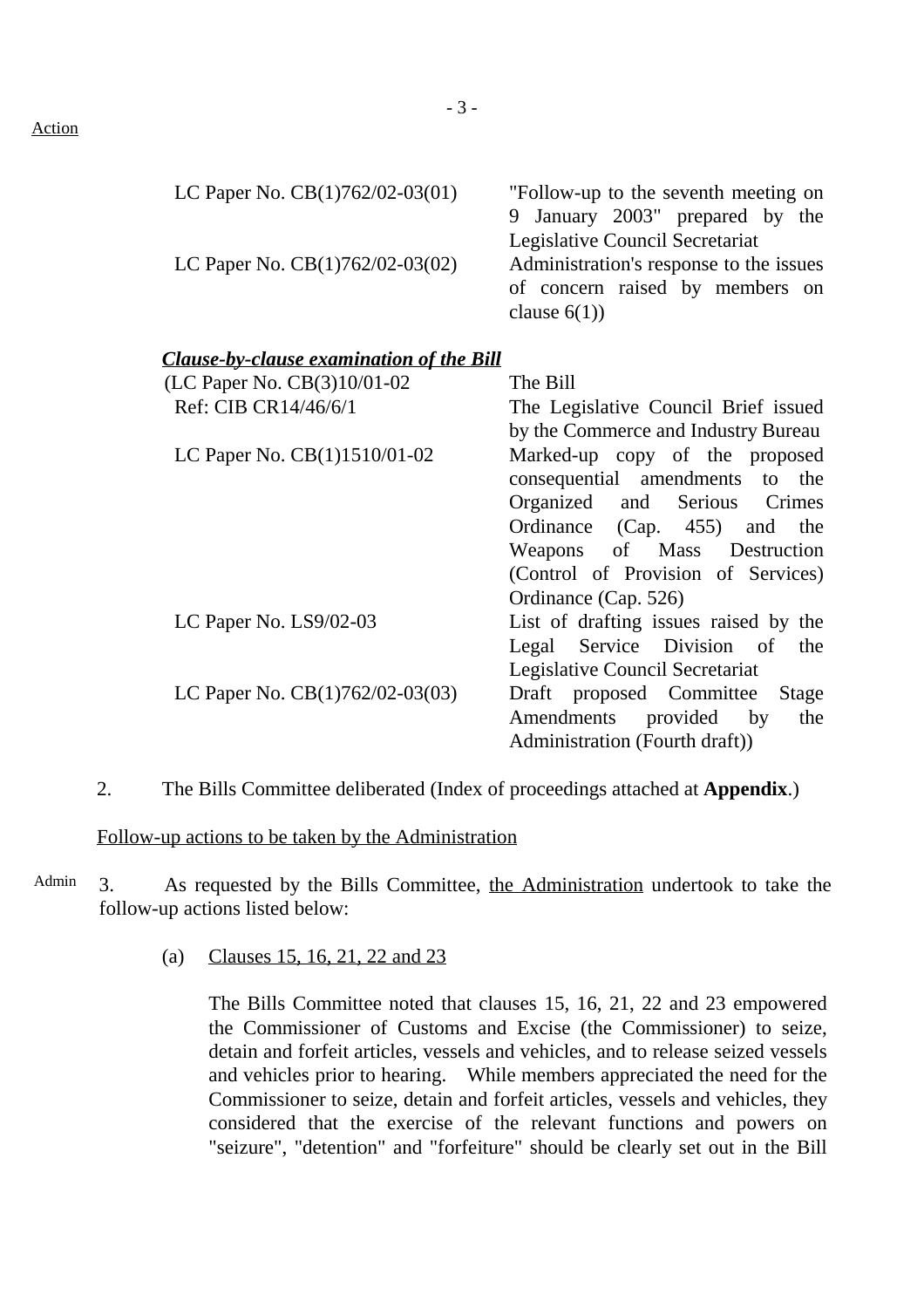#### Action

| LC Paper No. $CB(1)762/02-03(01)$ — "Follow-up to the seventh meeting on    |                                 |
|-----------------------------------------------------------------------------|---------------------------------|
|                                                                             | 9 January 2003" prepared by the |
|                                                                             | Legislative Council Secretariat |
| LC Paper No. $CB(1)762/02-03(02)$ — Administration's response to the issues |                                 |
|                                                                             | of concern raised by members on |
|                                                                             | clause $6(1)$ )                 |

#### *Clause-by-clause examination of the Bill*

| (LC Paper No. CB(3)10/01-02  | $\equiv$ The Bill                                                  |
|------------------------------|--------------------------------------------------------------------|
| Ref: CIB CR14/46/6/1         | — The Legislative Council Brief issued                             |
|                              | by the Commerce and Industry Bureau                                |
| LC Paper No. CB(1)1510/01-02 | Marked-up copy of the proposed                                     |
|                              | consequential amendments to the                                    |
|                              | Organized and Serious Crimes                                       |
|                              | Ordinance (Cap. 455) and the                                       |
|                              | Weapons of Mass Destruction                                        |
|                              | (Control of Provision of Services)                                 |
|                              | Ordinance (Cap. 526)                                               |
| LC Paper No. LS9/02-03       | - List of drafting issues raised by the                            |
|                              | Legal Service Division of the                                      |
|                              | Legislative Council Secretariat                                    |
|                              | LC Paper No. $CB(1)762/02-03(03)$ — Draft proposed Committee Stage |
|                              | Amendments provided by<br>the                                      |
|                              | Administration (Fourth draft))                                     |
|                              |                                                                    |

2. The Bills Committee deliberated (Index of proceedings attached at **Appendix**.)

Follow-up actions to be taken by the Administration

- Admin 3. As requested by the Bills Committee, the Administration undertook to take the follow-up actions listed below:
	- (a) Clauses 15, 16, 21, 22 and 23

The Bills Committee noted that clauses 15, 16, 21, 22 and 23 empowered the Commissioner of Customs and Excise (the Commissioner) to seize, detain and forfeit articles, vessels and vehicles, and to release seized vessels and vehicles prior to hearing. While members appreciated the need for the Commissioner to seize, detain and forfeit articles, vessels and vehicles, they considered that the exercise of the relevant functions and powers on "seizure", "detention" and "forfeiture" should be clearly set out in the Bill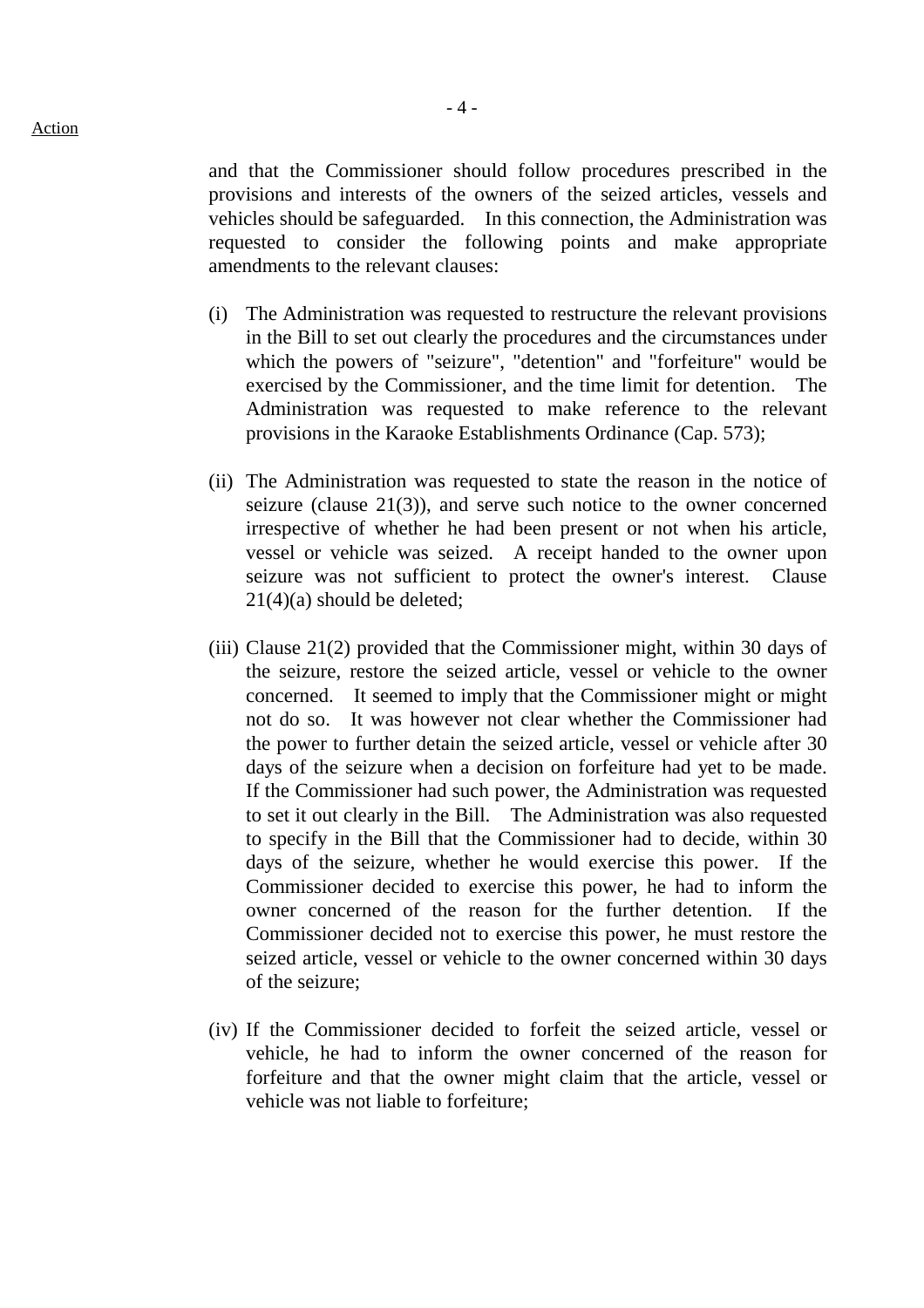- 4 -

and that the Commissioner should follow procedures prescribed in the provisions and interests of the owners of the seized articles, vessels and vehicles should be safeguarded. In this connection, the Administration was requested to consider the following points and make appropriate amendments to the relevant clauses:

- (i) The Administration was requested to restructure the relevant provisions in the Bill to set out clearly the procedures and the circumstances under which the powers of "seizure", "detention" and "forfeiture" would be exercised by the Commissioner, and the time limit for detention. The Administration was requested to make reference to the relevant provisions in the Karaoke Establishments Ordinance (Cap. 573);
- (ii) The Administration was requested to state the reason in the notice of seizure (clause 21(3)), and serve such notice to the owner concerned irrespective of whether he had been present or not when his article, vessel or vehicle was seized. A receipt handed to the owner upon seizure was not sufficient to protect the owner's interest. Clause 21(4)(a) should be deleted;
- (iii) Clause 21(2) provided that the Commissioner might, within 30 days of the seizure, restore the seized article, vessel or vehicle to the owner concerned. It seemed to imply that the Commissioner might or might not do so. It was however not clear whether the Commissioner had the power to further detain the seized article, vessel or vehicle after 30 days of the seizure when a decision on forfeiture had yet to be made. If the Commissioner had such power, the Administration was requested to set it out clearly in the Bill. The Administration was also requested to specify in the Bill that the Commissioner had to decide, within 30 days of the seizure, whether he would exercise this power. If the Commissioner decided to exercise this power, he had to inform the owner concerned of the reason for the further detention. If the Commissioner decided not to exercise this power, he must restore the seized article, vessel or vehicle to the owner concerned within 30 days of the seizure;
- (iv) If the Commissioner decided to forfeit the seized article, vessel or vehicle, he had to inform the owner concerned of the reason for forfeiture and that the owner might claim that the article, vessel or vehicle was not liable to forfeiture;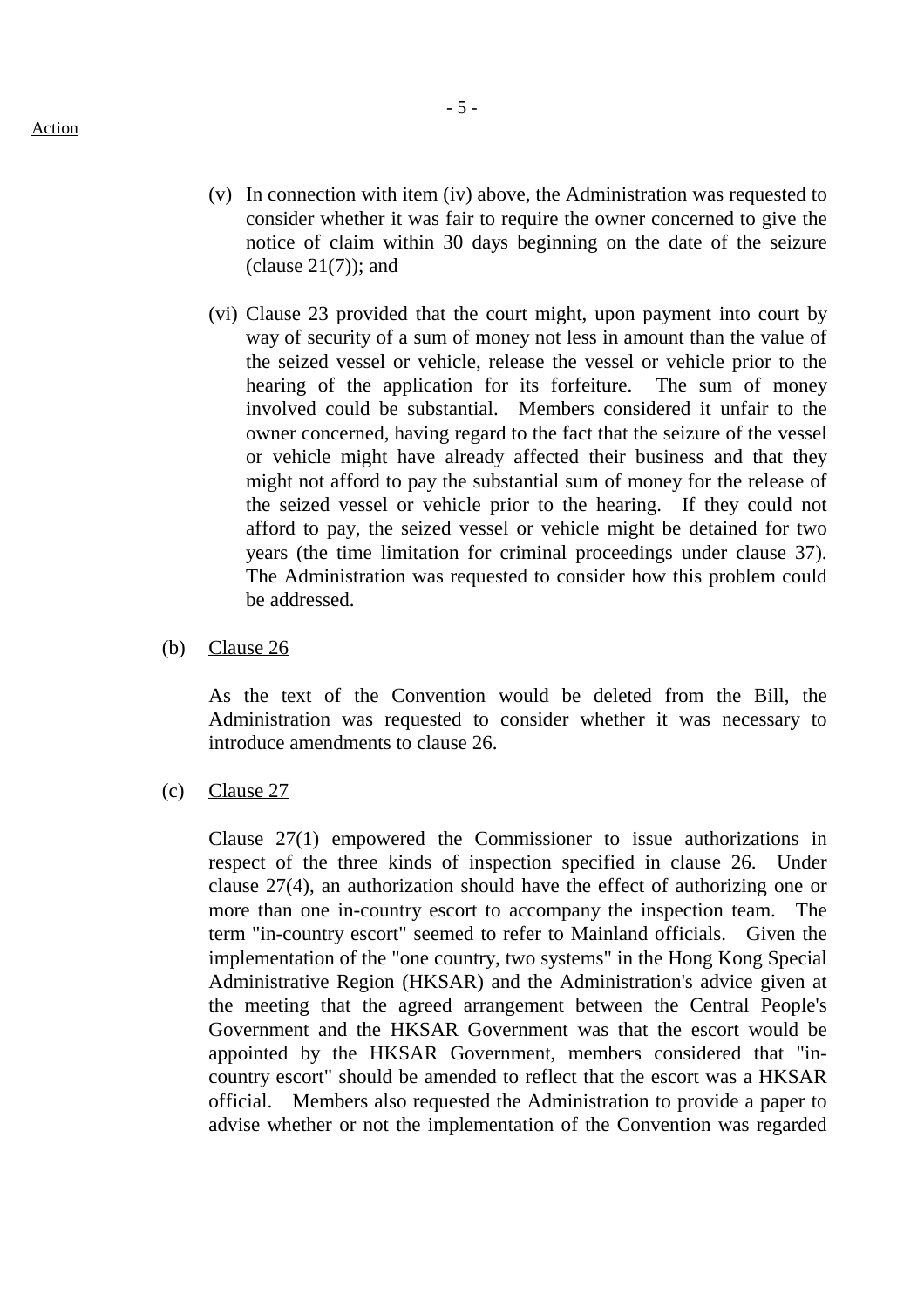- (v) In connection with item (iv) above, the Administration was requested to consider whether it was fair to require the owner concerned to give the notice of claim within 30 days beginning on the date of the seizure (clause  $21(7)$ ); and
- (vi) Clause 23 provided that the court might, upon payment into court by way of security of a sum of money not less in amount than the value of the seized vessel or vehicle, release the vessel or vehicle prior to the hearing of the application for its forfeiture. The sum of money involved could be substantial. Members considered it unfair to the owner concerned, having regard to the fact that the seizure of the vessel or vehicle might have already affected their business and that they might not afford to pay the substantial sum of money for the release of the seized vessel or vehicle prior to the hearing. If they could not afford to pay, the seized vessel or vehicle might be detained for two years (the time limitation for criminal proceedings under clause 37). The Administration was requested to consider how this problem could be addressed.
- (b) Clause 26

As the text of the Convention would be deleted from the Bill, the Administration was requested to consider whether it was necessary to introduce amendments to clause 26.

(c) Clause 27

Clause 27(1) empowered the Commissioner to issue authorizations in respect of the three kinds of inspection specified in clause 26. Under clause 27(4), an authorization should have the effect of authorizing one or more than one in-country escort to accompany the inspection team. The term "in-country escort" seemed to refer to Mainland officials. Given the implementation of the "one country, two systems" in the Hong Kong Special Administrative Region (HKSAR) and the Administration's advice given at the meeting that the agreed arrangement between the Central People's Government and the HKSAR Government was that the escort would be appointed by the HKSAR Government, members considered that "incountry escort" should be amended to reflect that the escort was a HKSAR official. Members also requested the Administration to provide a paper to advise whether or not the implementation of the Convention was regarded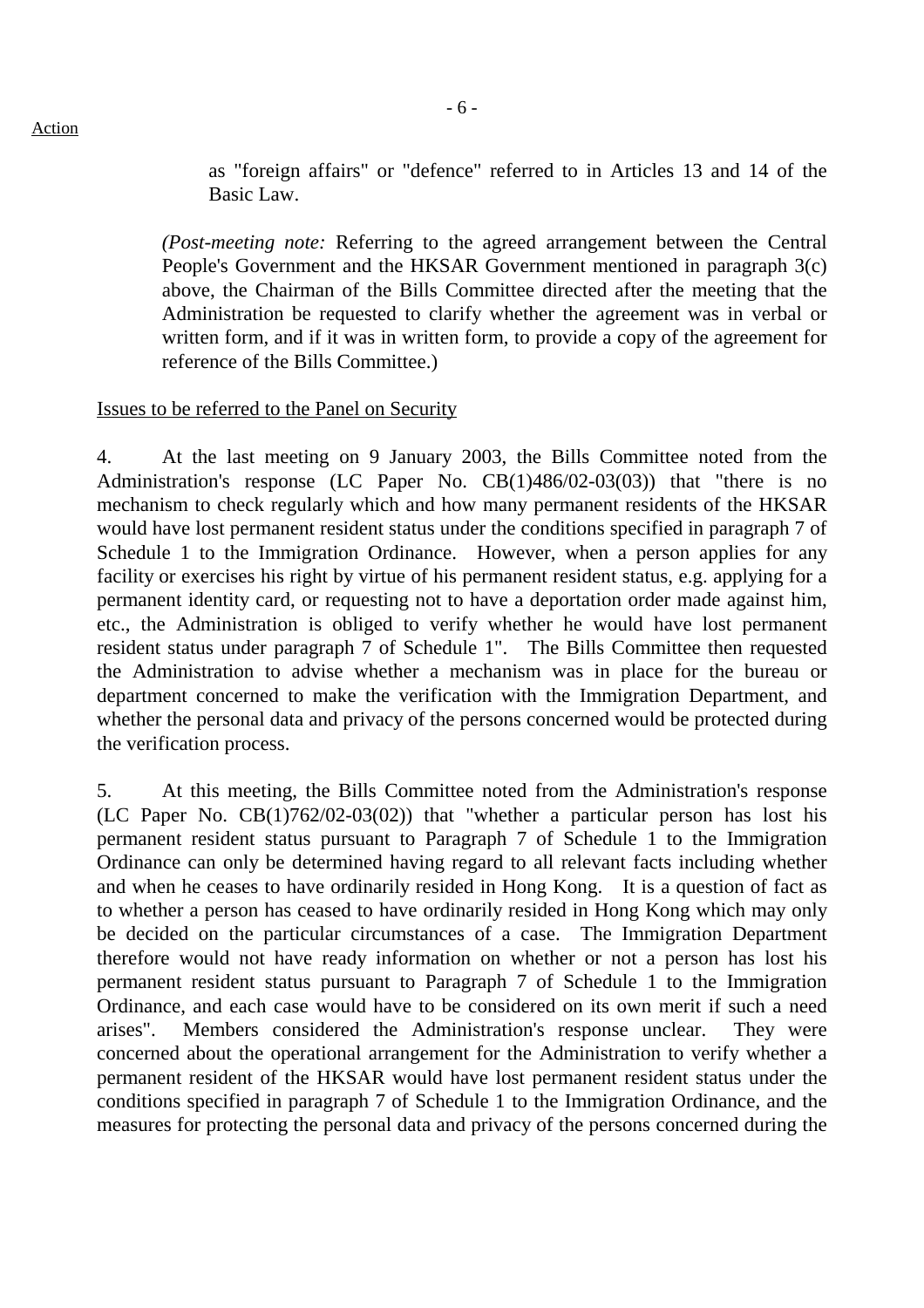as "foreign affairs" or "defence" referred to in Articles 13 and 14 of the Basic Law.

*(Post-meeting note:* Referring to the agreed arrangement between the Central People's Government and the HKSAR Government mentioned in paragraph 3(c) above, the Chairman of the Bills Committee directed after the meeting that the Administration be requested to clarify whether the agreement was in verbal or written form, and if it was in written form, to provide a copy of the agreement for reference of the Bills Committee.)

#### Issues to be referred to the Panel on Security

4. At the last meeting on 9 January 2003, the Bills Committee noted from the Administration's response (LC Paper No. CB(1)486/02-03(03)) that "there is no mechanism to check regularly which and how many permanent residents of the HKSAR would have lost permanent resident status under the conditions specified in paragraph 7 of Schedule 1 to the Immigration Ordinance. However, when a person applies for any facility or exercises his right by virtue of his permanent resident status, e.g. applying for a permanent identity card, or requesting not to have a deportation order made against him, etc., the Administration is obliged to verify whether he would have lost permanent resident status under paragraph 7 of Schedule 1". The Bills Committee then requested the Administration to advise whether a mechanism was in place for the bureau or department concerned to make the verification with the Immigration Department, and whether the personal data and privacy of the persons concerned would be protected during the verification process.

5. At this meeting, the Bills Committee noted from the Administration's response (LC Paper No. CB(1)762/02-03(02)) that "whether a particular person has lost his permanent resident status pursuant to Paragraph 7 of Schedule 1 to the Immigration Ordinance can only be determined having regard to all relevant facts including whether and when he ceases to have ordinarily resided in Hong Kong. It is a question of fact as to whether a person has ceased to have ordinarily resided in Hong Kong which may only be decided on the particular circumstances of a case. The Immigration Department therefore would not have ready information on whether or not a person has lost his permanent resident status pursuant to Paragraph 7 of Schedule 1 to the Immigration Ordinance, and each case would have to be considered on its own merit if such a need arises". Members considered the Administration's response unclear. They were concerned about the operational arrangement for the Administration to verify whether a permanent resident of the HKSAR would have lost permanent resident status under the conditions specified in paragraph 7 of Schedule 1 to the Immigration Ordinance, and the measures for protecting the personal data and privacy of the persons concerned during the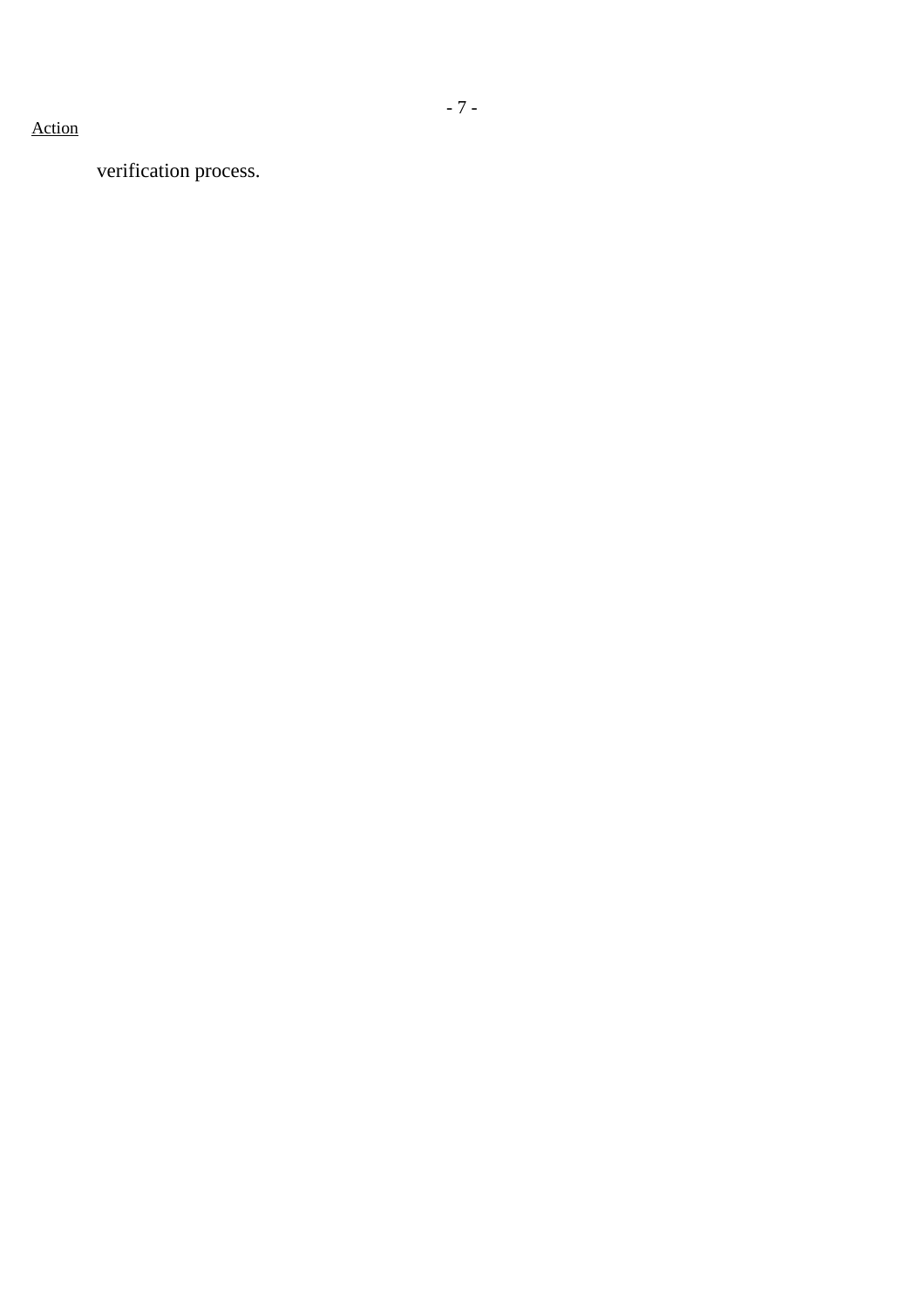# verification process.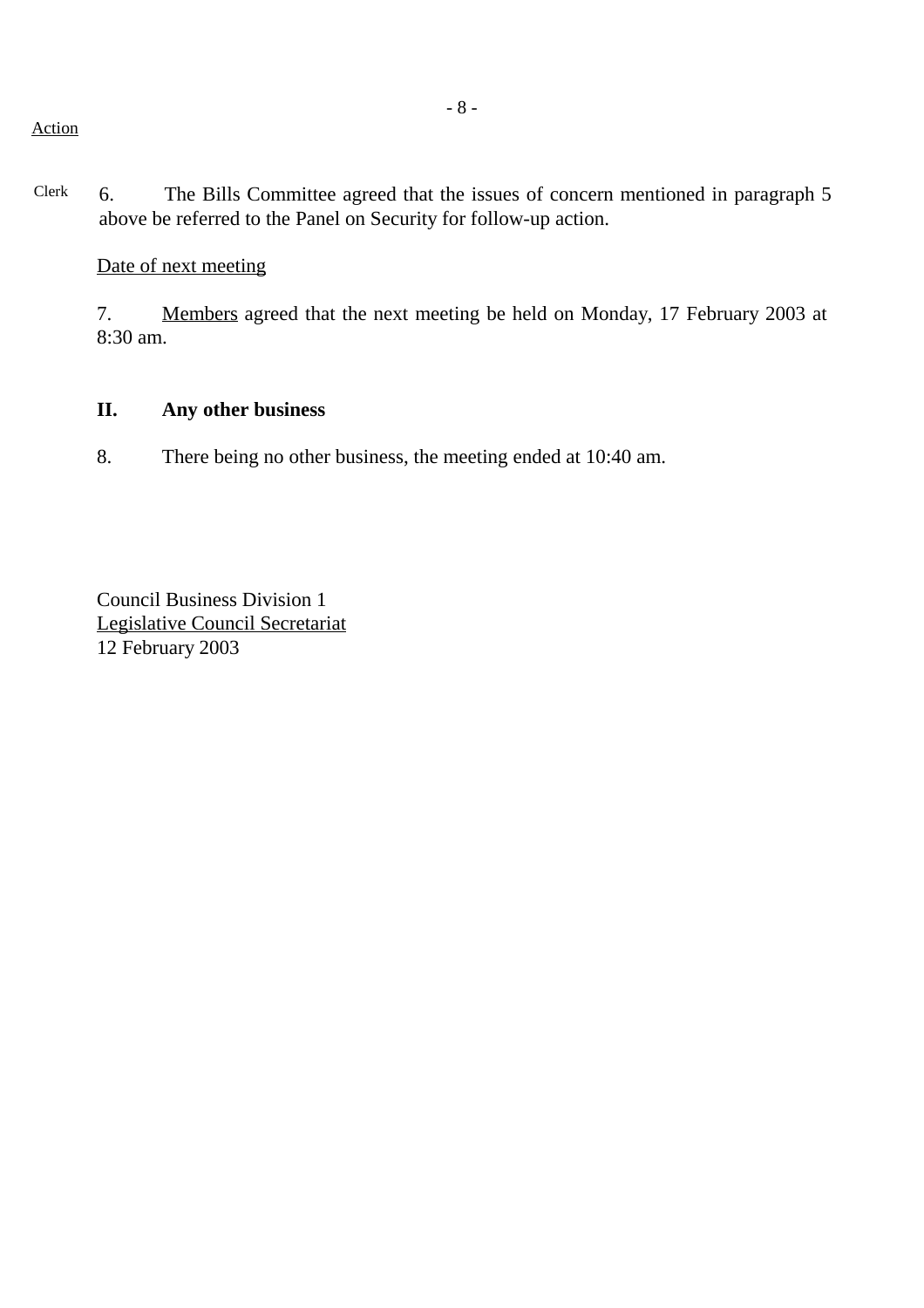Clerk 6. The Bills Committee agreed that the issues of concern mentioned in paragraph 5 above be referred to the Panel on Security for follow-up action.

Date of next meeting

7. Members agreed that the next meeting be held on Monday, 17 February 2003 at 8:30 am.

# **II. Any other business**

8. There being no other business, the meeting ended at 10:40 am.

Council Business Division 1 Legislative Council Secretariat 12 February 2003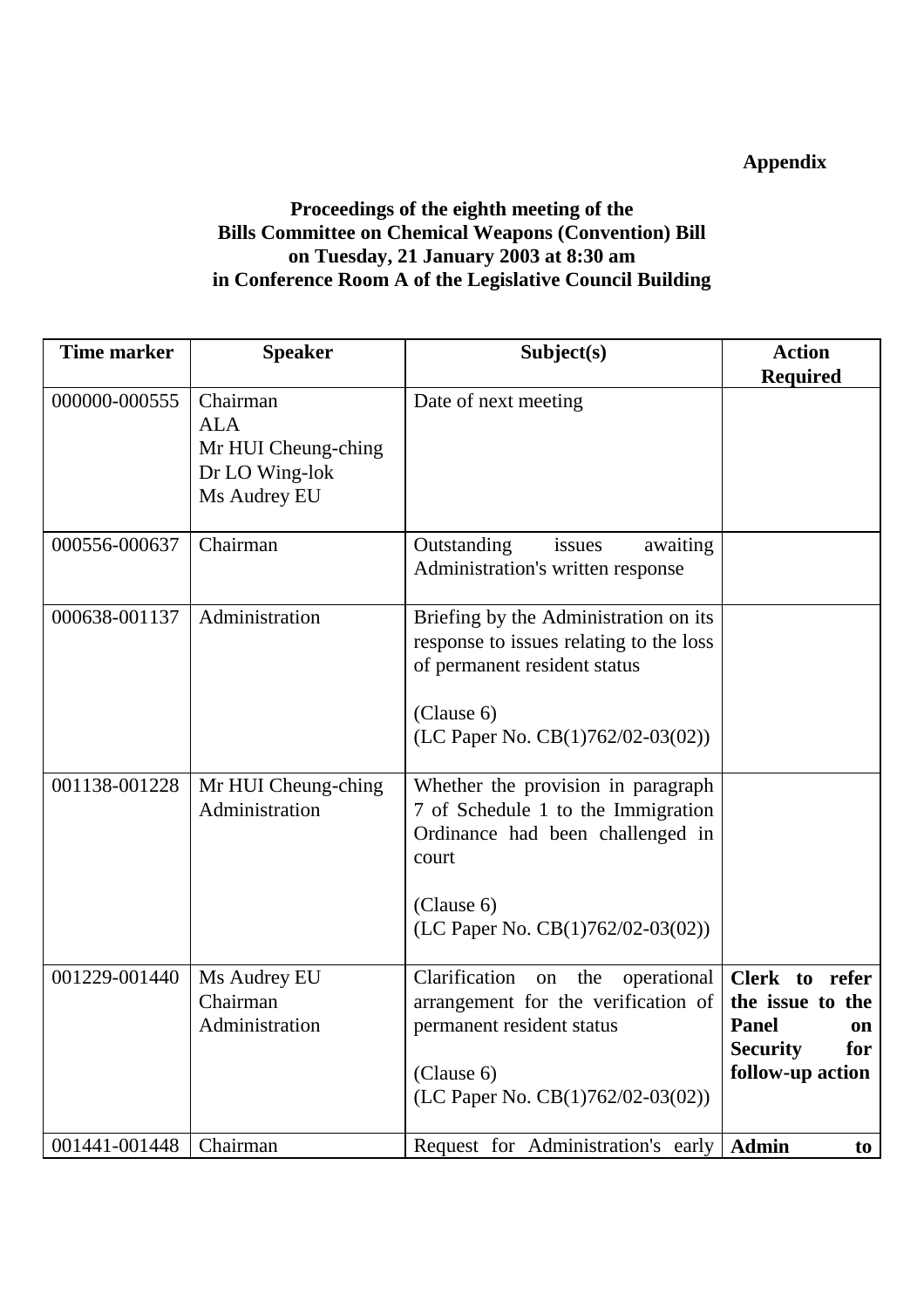# **Appendix**

# **Proceedings of the eighth meeting of the Bills Committee on Chemical Weapons (Convention) Bill on Tuesday, 21 January 2003 at 8:30 am in Conference Room A of the Legislative Council Building**

| <b>Time marker</b> | <b>Speaker</b>                                                                  | Subject(s)                                                                                                                                                                   | <b>Action</b>                                                                                          |
|--------------------|---------------------------------------------------------------------------------|------------------------------------------------------------------------------------------------------------------------------------------------------------------------------|--------------------------------------------------------------------------------------------------------|
| 000000-000555      | Chairman<br><b>ALA</b><br>Mr HUI Cheung-ching<br>Dr LO Wing-lok<br>Ms Audrey EU | Date of next meeting                                                                                                                                                         | <b>Required</b>                                                                                        |
| 000556-000637      | Chairman                                                                        | Outstanding<br>awaiting<br>issues<br>Administration's written response                                                                                                       |                                                                                                        |
| 000638-001137      | Administration                                                                  | Briefing by the Administration on its<br>response to issues relating to the loss<br>of permanent resident status<br>(Clause 6)<br>(LC Paper No. $CB(1)762/02-03(02))$ )      |                                                                                                        |
| 001138-001228      | Mr HUI Cheung-ching<br>Administration                                           | Whether the provision in paragraph<br>7 of Schedule 1 to the Immigration<br>Ordinance had been challenged in<br>court<br>(Clause 6)<br>(LC Paper No. $CB(1)762/02-03(02))$ ) |                                                                                                        |
| 001229-001440      | Ms Audrey EU<br>Chairman<br>Administration                                      | Clarification<br>operational<br>on the<br>arrangement for the verification of<br>permanent resident status<br>(Clause 6)<br>(LC Paper No. CB(1)762/02-03(02))                | Clerk to refer<br>the issue to the<br><b>Panel</b><br>on<br><b>Security</b><br>for<br>follow-up action |
| 001441-001448      | Chairman                                                                        | Request for Administration's early                                                                                                                                           | <b>Admin</b><br>to                                                                                     |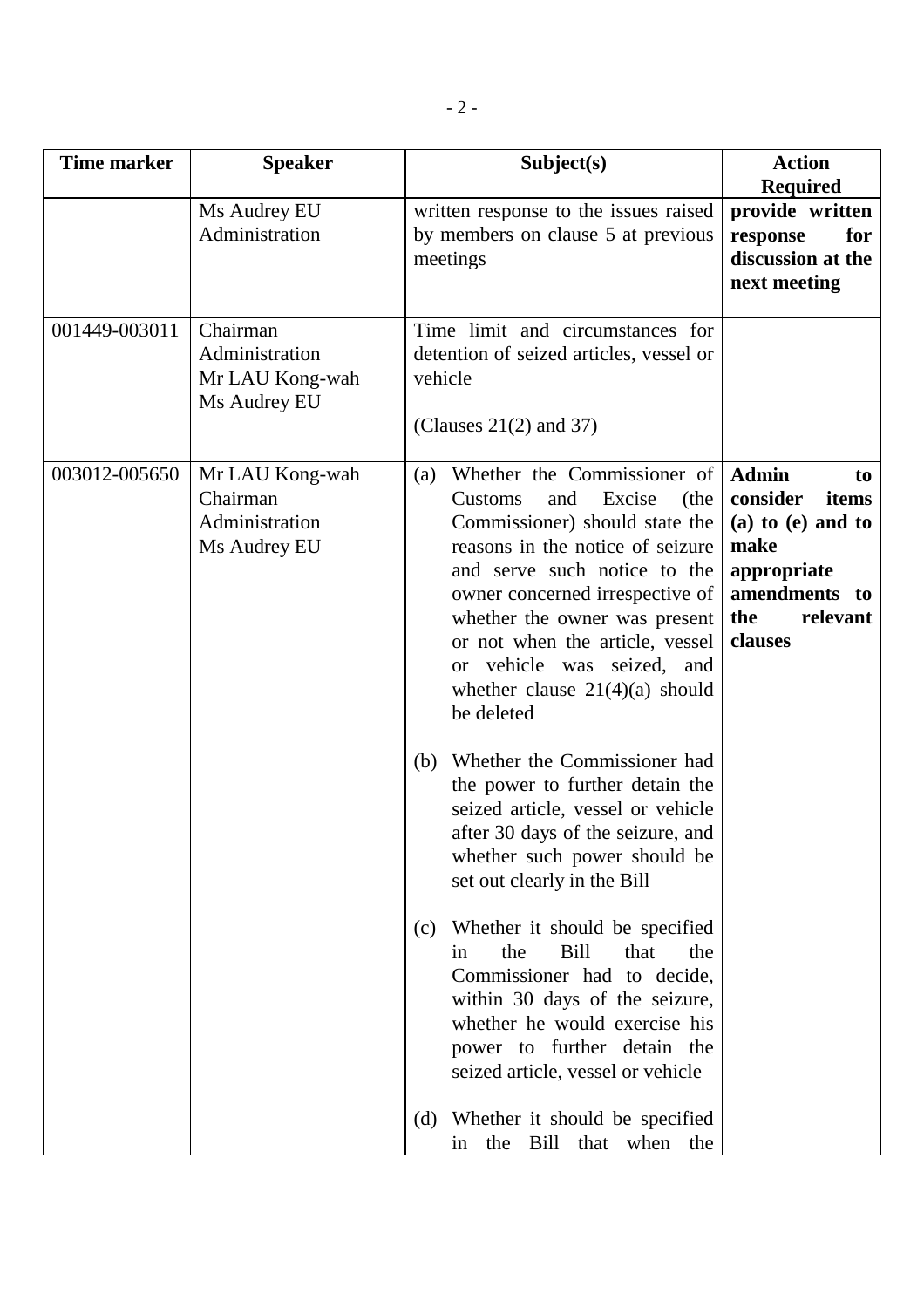| <b>Time marker</b> | <b>Speaker</b>                                                | Subject(s)                                                                                                                                                                                                                                                                                                                                                                                                                                                                                                                                                                                                                                                                                                                                                                                                                                                                                                                | <b>Action</b>                                                                                                                          |
|--------------------|---------------------------------------------------------------|---------------------------------------------------------------------------------------------------------------------------------------------------------------------------------------------------------------------------------------------------------------------------------------------------------------------------------------------------------------------------------------------------------------------------------------------------------------------------------------------------------------------------------------------------------------------------------------------------------------------------------------------------------------------------------------------------------------------------------------------------------------------------------------------------------------------------------------------------------------------------------------------------------------------------|----------------------------------------------------------------------------------------------------------------------------------------|
|                    | Ms Audrey EU<br>Administration                                | written response to the issues raised<br>by members on clause 5 at previous<br>meetings                                                                                                                                                                                                                                                                                                                                                                                                                                                                                                                                                                                                                                                                                                                                                                                                                                   | <b>Required</b><br>provide written<br>for<br>response<br>discussion at the<br>next meeting                                             |
| 001449-003011      | Chairman<br>Administration<br>Mr LAU Kong-wah<br>Ms Audrey EU | Time limit and circumstances for<br>detention of seized articles, vessel or<br>vehicle<br>(Clauses $21(2)$ and 37)                                                                                                                                                                                                                                                                                                                                                                                                                                                                                                                                                                                                                                                                                                                                                                                                        |                                                                                                                                        |
| 003012-005650      | Mr LAU Kong-wah<br>Chairman<br>Administration<br>Ms Audrey EU | Whether the Commissioner of<br>(a)<br>Excise<br>and<br>(the<br>Customs<br>Commissioner) should state the<br>reasons in the notice of seizure<br>and serve such notice to the<br>owner concerned irrespective of<br>whether the owner was present<br>or not when the article, vessel<br>or vehicle was seized, and<br>whether clause $21(4)(a)$ should<br>be deleted<br>Whether the Commissioner had<br>(b)<br>the power to further detain the<br>seized article, vessel or vehicle<br>after 30 days of the seizure, and<br>whether such power should be<br>set out clearly in the Bill<br>Whether it should be specified<br>(c)<br>that<br>the<br><b>Bill</b><br>the<br>in<br>Commissioner had to decide,<br>within 30 days of the seizure,<br>whether he would exercise his<br>power to further detain the<br>seized article, vessel or vehicle<br>Whether it should be specified<br>(d)<br>the Bill that when the<br>in | <b>Admin</b><br>to<br>consider<br>items<br>$(a)$ to $(e)$ and to<br>make<br>appropriate<br>amendments to<br>the<br>relevant<br>clauses |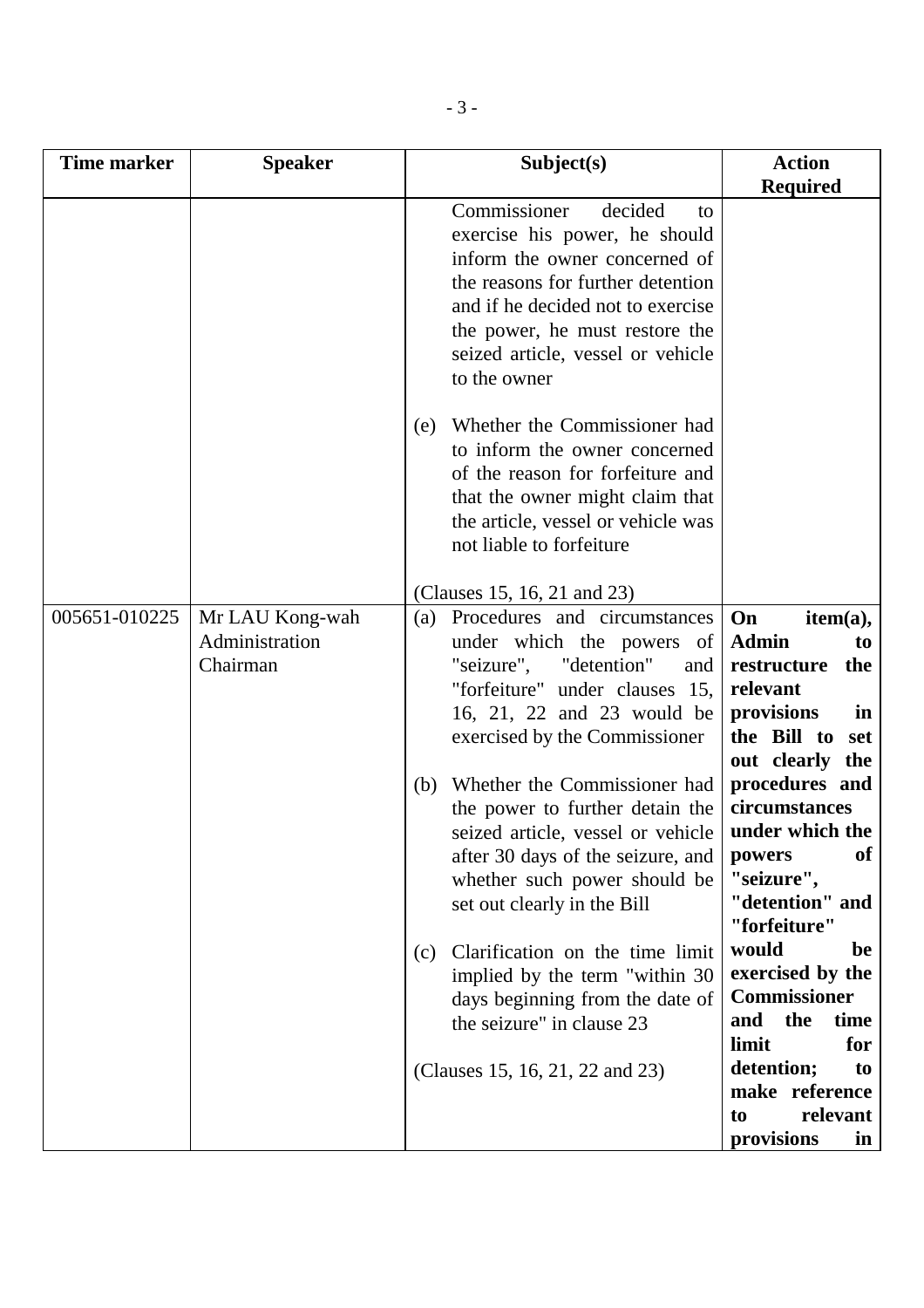| <b>Time marker</b> | <b>Speaker</b>                                | Subject(s)                                                                                                                                                                                                                                                                                                                                                                                                                                                                                                                                                                                              | <b>Action</b>                                                                                                                                                                                                                                                                                                                                                                                                                          |
|--------------------|-----------------------------------------------|---------------------------------------------------------------------------------------------------------------------------------------------------------------------------------------------------------------------------------------------------------------------------------------------------------------------------------------------------------------------------------------------------------------------------------------------------------------------------------------------------------------------------------------------------------------------------------------------------------|----------------------------------------------------------------------------------------------------------------------------------------------------------------------------------------------------------------------------------------------------------------------------------------------------------------------------------------------------------------------------------------------------------------------------------------|
|                    |                                               |                                                                                                                                                                                                                                                                                                                                                                                                                                                                                                                                                                                                         | <b>Required</b>                                                                                                                                                                                                                                                                                                                                                                                                                        |
|                    |                                               | Commissioner<br>decided<br>to<br>exercise his power, he should<br>inform the owner concerned of<br>the reasons for further detention<br>and if he decided not to exercise<br>the power, he must restore the<br>seized article, vessel or vehicle<br>to the owner                                                                                                                                                                                                                                                                                                                                        |                                                                                                                                                                                                                                                                                                                                                                                                                                        |
|                    |                                               | Whether the Commissioner had<br>(e)<br>to inform the owner concerned<br>of the reason for forfeiture and<br>that the owner might claim that<br>the article, vessel or vehicle was<br>not liable to forfeiture                                                                                                                                                                                                                                                                                                                                                                                           |                                                                                                                                                                                                                                                                                                                                                                                                                                        |
|                    |                                               | (Clauses 15, 16, 21 and 23)                                                                                                                                                                                                                                                                                                                                                                                                                                                                                                                                                                             |                                                                                                                                                                                                                                                                                                                                                                                                                                        |
| 005651-010225      | Mr LAU Kong-wah<br>Administration<br>Chairman | Procedures and circumstances<br>(a)<br>under which the powers of<br>"seizure",<br>"detention"<br>and<br>"forfeiture" under clauses 15,<br>16, 21, 22 and 23 would be<br>exercised by the Commissioner<br>Whether the Commissioner had<br>(b)<br>the power to further detain the<br>seized article, vessel or vehicle<br>after 30 days of the seizure, and<br>whether such power should be<br>set out clearly in the Bill<br>Clarification on the time limit<br>(c)<br>implied by the term "within 30<br>days beginning from the date of<br>the seizure" in clause 23<br>(Clauses 15, 16, 21, 22 and 23) | On<br>item(a),<br><b>Admin</b><br>to<br>restructure<br>the<br>relevant<br>provisions<br>in<br>the Bill to<br>set<br>out clearly the<br>procedures and<br>circumstances<br>under which the<br>of<br>powers<br>"seizure",<br>"detention" and<br>"forfeiture"<br>would<br>be<br>exercised by the<br><b>Commissioner</b><br>the<br>and<br>time<br>limit<br>for<br>detention;<br>to<br>make reference<br>relevant<br>to<br>provisions<br>in |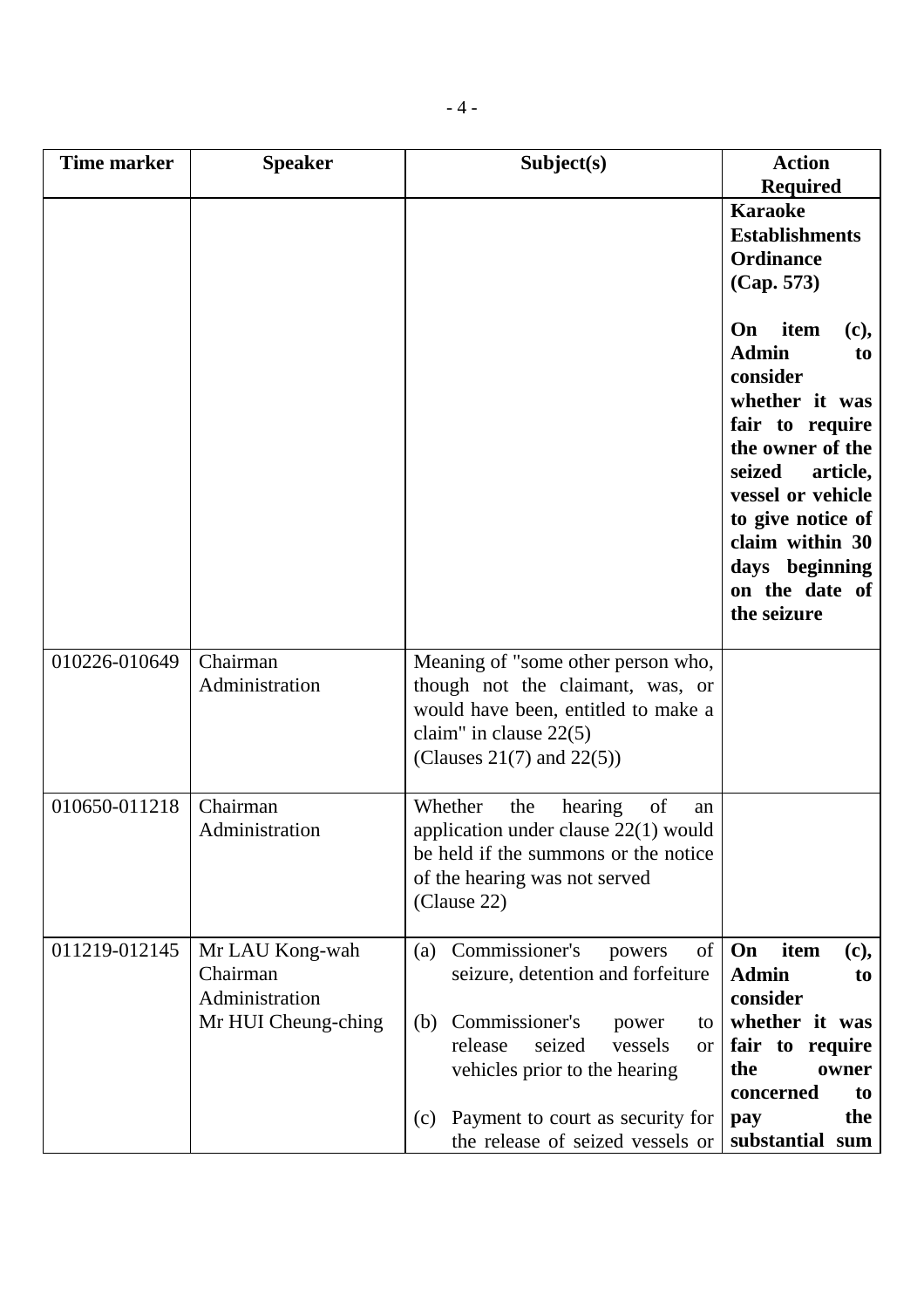| <b>Time marker</b> | <b>Speaker</b>                                                       | Subject(s)                                                                                                                                                                                                                                                               | <b>Action</b><br><b>Required</b>                                                                                                                                                                                                                           |
|--------------------|----------------------------------------------------------------------|--------------------------------------------------------------------------------------------------------------------------------------------------------------------------------------------------------------------------------------------------------------------------|------------------------------------------------------------------------------------------------------------------------------------------------------------------------------------------------------------------------------------------------------------|
|                    |                                                                      |                                                                                                                                                                                                                                                                          | <b>Karaoke</b><br><b>Establishments</b><br><b>Ordinance</b><br>(Cap. 573)                                                                                                                                                                                  |
|                    |                                                                      |                                                                                                                                                                                                                                                                          | item<br><b>On</b><br>(c),<br><b>Admin</b><br>to<br>consider<br>whether it was<br>fair to require<br>the owner of the<br>seized<br>article,<br>vessel or vehicle<br>to give notice of<br>claim within 30<br>days beginning<br>on the date of<br>the seizure |
| 010226-010649      | Chairman<br>Administration                                           | Meaning of "some other person who,<br>though not the claimant, was, or<br>would have been, entitled to make a<br>claim" in clause $22(5)$<br>(Clauses 21(7) and $22(5)$ )                                                                                                |                                                                                                                                                                                                                                                            |
| 010650-011218      | Chairman<br>Administration                                           | of<br>Whether<br>the<br>hearing<br>an<br>application under clause $22(1)$ would<br>be held if the summons or the notice<br>of the hearing was not served<br>(Clause 22)                                                                                                  |                                                                                                                                                                                                                                                            |
| 011219-012145      | Mr LAU Kong-wah<br>Chairman<br>Administration<br>Mr HUI Cheung-ching | Commissioner's<br>of<br>(a)<br>powers<br>seizure, detention and forfeiture<br>Commissioner's<br>(b)<br>power<br>to<br>release<br>seized<br>vessels<br>or<br>vehicles prior to the hearing<br>Payment to court as security for<br>(c)<br>the release of seized vessels or | On<br>item<br>(c),<br><b>Admin</b><br>to<br>consider<br>whether it was<br>fair to require<br>the<br>owner<br>concerned<br>to<br>the<br>pay<br>substantial sum                                                                                              |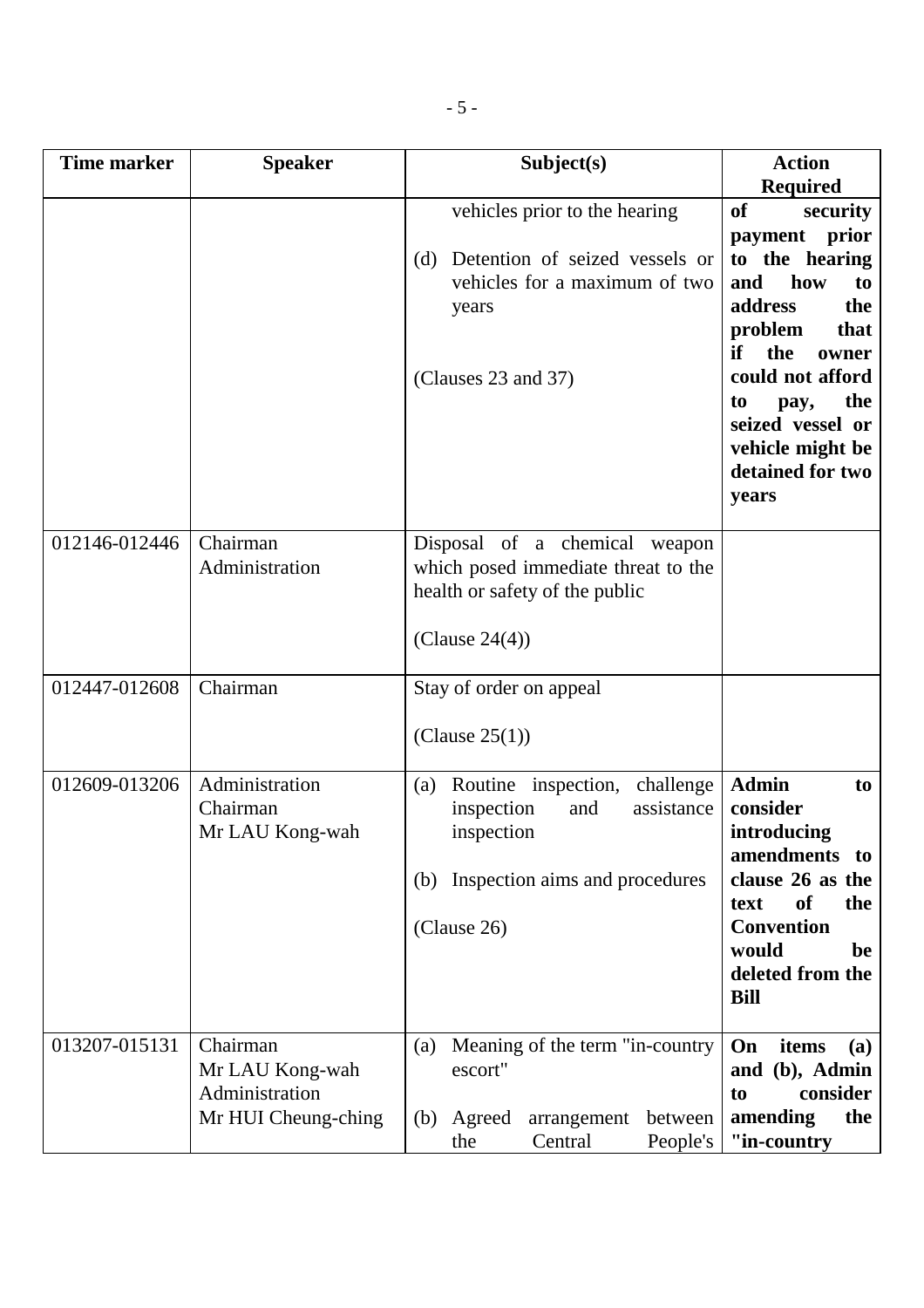| <b>Time marker</b> | <b>Speaker</b>                                                       | Subject(s)                                                                                                                                       | <b>Action</b>                                                                                                                                                                                                                                                            |
|--------------------|----------------------------------------------------------------------|--------------------------------------------------------------------------------------------------------------------------------------------------|--------------------------------------------------------------------------------------------------------------------------------------------------------------------------------------------------------------------------------------------------------------------------|
|                    |                                                                      | vehicles prior to the hearing<br>Detention of seized vessels or<br>(d)<br>vehicles for a maximum of two<br>years<br>(Clauses 23 and 37)          | <b>Required</b><br><b>of</b><br>security<br>payment prior<br>to the hearing<br>how<br>and<br>to<br>address<br>the<br>problem<br>that<br>if<br>the<br>owner<br>could not afford<br>the<br>to<br>pay,<br>seized vessel or<br>vehicle might be<br>detained for two<br>years |
| 012146-012446      | Chairman<br>Administration                                           | Disposal of a chemical weapon<br>which posed immediate threat to the<br>health or safety of the public<br>(Clause $24(4)$ )                      |                                                                                                                                                                                                                                                                          |
| 012447-012608      | Chairman                                                             | Stay of order on appeal<br>(Clause $25(1)$ )                                                                                                     |                                                                                                                                                                                                                                                                          |
| 012609-013206      | Administration<br>Chairman<br>Mr LAU Kong-wah                        | Routine inspection,<br>challenge<br>(a)<br>inspection<br>assistance<br>and<br>inspection<br>Inspection aims and procedures<br>(b)<br>(Clause 26) | <b>Admin</b><br>to<br>consider<br>introducing<br>amendments<br>to<br>clause 26 as the<br><b>of</b><br>the<br>text<br><b>Convention</b><br>would<br>be<br>deleted from the<br><b>Bill</b>                                                                                 |
| 013207-015131      | Chairman<br>Mr LAU Kong-wah<br>Administration<br>Mr HUI Cheung-ching | Meaning of the term "in-country<br>(a)<br>escort"<br>Agreed<br>arrangement<br>between<br>(b)<br>Central<br>People's<br>the                       | On<br>items<br><b>(a)</b><br>and (b), Admin<br>consider<br>to<br>amending<br>the<br>"in-country                                                                                                                                                                          |